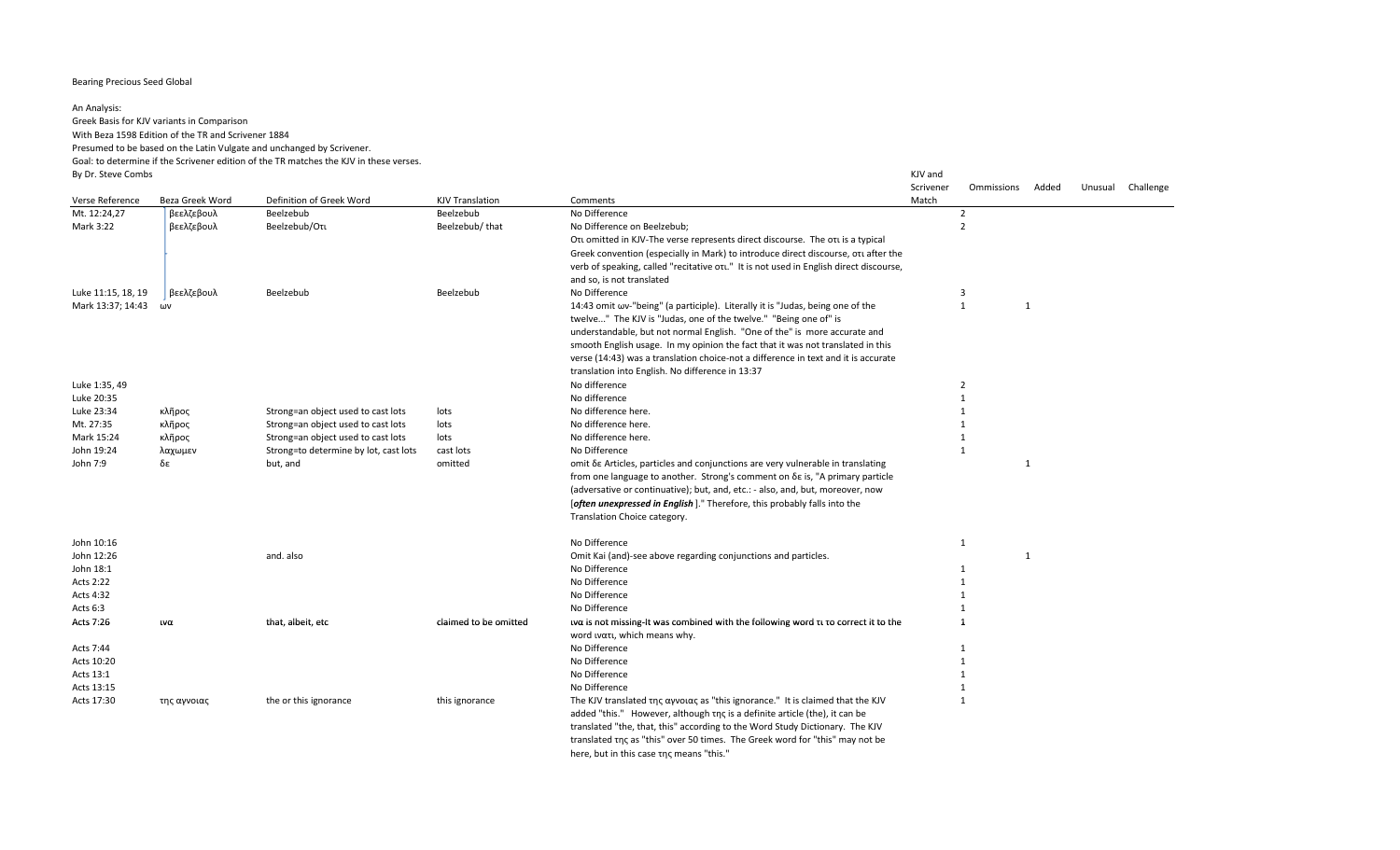## Bearing Precious Seed Global

## An Analysis:

Greek Basis for KJV variants in Comparison

With Beza 1598 Edition of the TR and Scrivener 1884

Presumed to be based on the Latin Vulgate and unchanged by Scrivener.

Goal: to determine if the Scrivener edition of the TR matches the KJV in these verses. By Dr. Steve Combs KJV and

Scrivener Ommissions Added Unusual Challenge Verse Reference Beza Greek Word Definition of Greek Word KJV Translation Comments Comments Comments Match Mt. 12:24,27 βεελζεβουλ Beelzebub Beelzebub No Difference 2 Mark 3:22 βεελζεβουλ Beelzebub/Οτι Beelzebub/ that No Difference on Beelzebub; Οτι omitted in KJV-The verse represents direct discourse. The οτι is a typical Greek convention (especially in Mark) to introduce direct discourse, οτι after the verb of speaking, called "recitative οτι." It is not used in English direct discourse, and so, is not translated 2 Luke 11:15, 18, 19 βεελζεβουλ Beelzebub Beelzebub No Difference 3 Mark 13:37; 14:43 ων ΦΑΝ 14:43 ων 14:43 omit ων-"being" (a participle). Literally it is "Judas, being one of the 1 1 1 1 twelve..." The KJV is "Judas, one of the twelve." "Being one of" is understandable, but not normal English. "One of the" is more accurate and smooth English usage. In my opinion the fact that it was not translated in this verse (14:43) was a translation choice-not a difference in text and it is accurate translation into English. No difference in 13:37 Luke 1:35, 49 No difference 2 Luke 20:35 No difference 1 Luke 23:34 κλῆρος Strong=an object used to cast lots lots No difference here. 1 Mt. 27:35 κλῆρος Strong=an object used to cast lots lots No difference here. 1 Mark 15:24 κλῆρος Strong=an object used to cast lots lots No difference here. 1 John 19:24 λαχωμεν Strong=to determine by lot, cast lots cast lots No Difference 1 John 7:9 δε but, and omitted omit δε Articles, particles and conjunctions are very vulnerable in translating from one language to another. Strong's comment on δε is, "A primary particle (adversative or continuative); but, and, etc.: - also, and, but, moreover, now [*often unexpressed in English* ]." Therefore, this probably falls into the Translation Choice category. 1 John 10:16 No Difference 1 John 12:26 **12:26 12:26 12:26 12:26 12:26 12:26 12:26 12:26 12:26 12:26 12:26 12:26 12:26 12:26 12:26 12:26 12:26 12:26 12:26 12:26 12:26 12:26 12:26 12:26 12:26 12:26 12** John 18:1 **No Difference** and the set of the set of the set of the set of the set of the set of the set of the set of the set of the set of the set of the set of the set of the set of the set of the set of the set of the s Acts 2:22 **No Difference 1** Acts 4:32 No Difference New York 2012 No Difference New York 2012 No Difference New York 2012 No Difference New York 2012 No Difference New York 2012 No Difference New York 2012 No Difference New York 2012 No Difference Ne Acts 6:3 No Difference **1** No Difference **1** No Difference **1** No Difference **1** No Difference **1** No Difference **1** Acts 7:26 ινα under that, albeit, etc claimed to be omitted ινα is not missing-It was combined with the following word τι το correct it to the 1 word ινατι, which means why. Acts 7:44 **No Difference 1** Acts 10:20 and the control of the control of the control of the control of the control of the control of the control of the control of the control of the control of the control of the control of the control of the control Acts 13:1 and the contract of the contract of the contract of the contract of the contract of the contract of the contract of the contract of the contract of the contract of the contract of the contract of the contract of Acts 13:15 **No Difference 1** Acts 17:30 της αγνοιας the or this ignorance this ignorance The KJV translated της αγνοιας as "this ignorance." It is claimed that the KJV added "this." However, although της is a definite article (the), it can be translated "the, that, this" according to the Word Study Dictionary. The KJV translated της as "this" over 50 times. The Greek word for "this" may not be 1

here, but in this case της means "this."